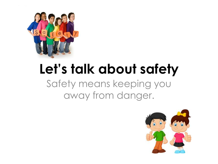

#### **Let's talk about safety** Safety means keeping you away from danger.

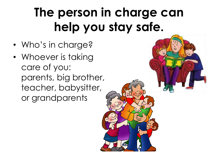#### **The person in charge can help you stay safe.**

- Who's in charge?
- Whoever is taking care of you: parents, big brother, teacher, babysitter, or grandparents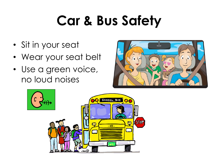### **Car & Bus Safety**

- Sit in your seat
- Wear your seat belt
- Use a green voice, no loud noises



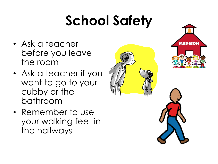## **School Safety**

- Ask a teacher before you leave the room
- Ask a teacher if you want to go to your cubby or the bathroom
- Remember to use your walking feet in the hallways



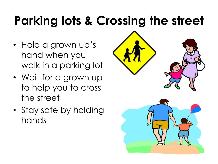### **Parking lots & Crossing the street**

- Hold a grown up's hand when you walk in a parking lot
- Wait for a grown up to help you to cross the street
- Stay safe by holding hands

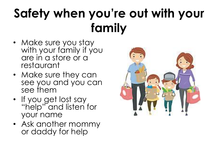#### **Safety when you're out with your family**

- Make sure you stay with your family if you are in a store or a restaurant
- Make sure they can see you and you can see them
- If you get lost say "help" and listen for your name
- Ask another mommy or daddy for help

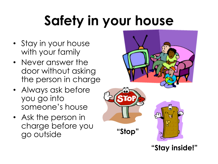## **Safety in your house**

- Stay in your house with your family
- Never answer the door without asking the person in charge
- Always ask before you go into someone's house
- Ask the person in charge before you go outside **"Stop"**



**"Stay inside!"**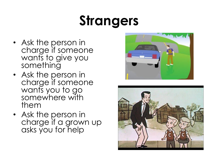### **Strangers**

- Ask the person in charge if someone wants to give you something
- Ask the person in charge if someone wants you to go somewhere with them
- Ask the person in charge if a grown up asks you for help



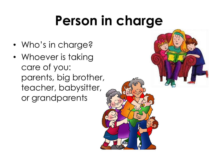### **Person in charge**

- Who's in charge?
- Whoever is taking care of you: parents, big brother, teacher, babysitter, or grandparents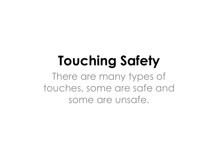### **Touching Safety**

There are many types of touches, some are safe and some are unsafe.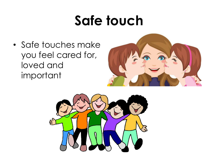#### **Safe touch**

• Safe touches make you feel cared for, loved and important



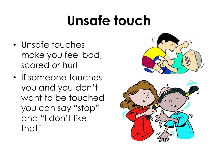### **Unsafe touch**

- Unsafe touches make you feel bad, scared or hurt
- If someone touches you and you don't want to be touched you can say "stop" and "I don't like that"



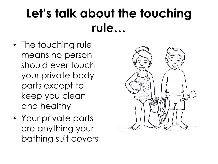#### **Let's talk about the touching rule…**

- The touching rule means no person should ever touch your private body parts except to keep you clean and healthy
- Your private parts are anything your bathing suit covers

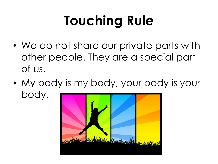# **Touching Rule**

- We do not share our private parts with other people. They are a special part of us.
- My body is my body, your body is your body.

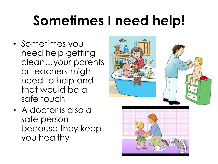## **Sometimes I need help!**

- Sometimes you need help getting clean…your parents or teachers might need to help and that would be a safe touch
- A doctor is also a safe person because they keep you healthy



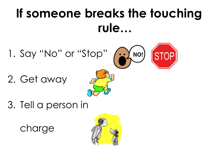#### **If someone breaks the touching rule…**

- 1. Say "No" or "Stop" (
- 2. Get away



3. Tell a person in

charge